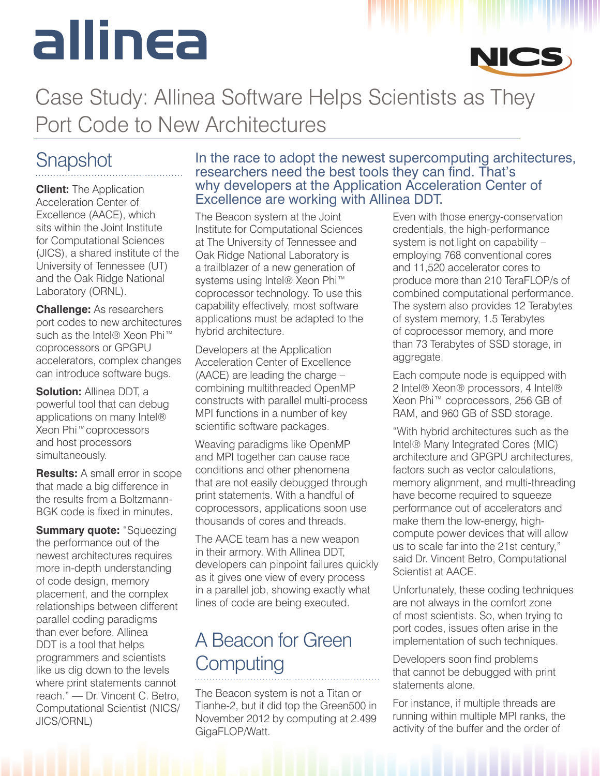# allin<del>c</del>a



### Case Study: Allinea Software Helps Scientists as They Port Code to New Architectures

#### **Snapshot**

**Client:** The Application Acceleration Center of Excellence (AACE), which sits within the Joint Institute for Computational Sciences (JICS), a shared institute of the University of Tennessee (UT) and the Oak Ridge National Laboratory (ORNL).

**Challenge:** As researchers port codes to new architectures such as the Intel® Xeon Phi<sup>™</sup> coprocessors or GPGPU accelerators, complex changes can introduce software bugs.

**Solution:** Allinea DDT, a powerful tool that can debug applications on many Intel® Xeon Phi™coprocessors and host processors simultaneously.

**Results:** A small error in scope that made a big difference in the results from a Boltzmann-BGK code is fixed in minutes.

**Summary quote:** "Squeezing the performance out of the newest architectures requires more in-depth understanding of code design, memory placement, and the complex relationships between different parallel coding paradigms than ever before. Allinea DDT is a tool that helps programmers and scientists like us dig down to the levels where print statements cannot reach." — Dr. Vincent C. Betro, Computational Scientist (NICS/ JICS/ORNL)

#### In the race to adopt the newest supercomputing architectures, researchers need the best tools they can find. That's why developers at the Application Acceleration Center of Excellence are working with Allinea DDT.

The Beacon system at the Joint Institute for Computational Sciences at The University of Tennessee and Oak Ridge National Laboratory is a trailblazer of a new generation of systems using Intel® Xeon Phi<sup>™</sup> coprocessor technology. To use this capability effectively, most software applications must be adapted to the hybrid architecture.

Developers at the Application Acceleration Center of Excellence (AACE) are leading the charge – combining multithreaded OpenMP constructs with parallel multi-process MPI functions in a number of key scientific software packages.

Weaving paradigms like OpenMP and MPI together can cause race conditions and other phenomena that are not easily debugged through print statements. With a handful of coprocessors, applications soon use thousands of cores and threads.

The AACE team has a new weapon in their armory. With Allinea DDT, developers can pinpoint failures quickly as it gives one view of every process in a parallel job, showing exactly what lines of code are being executed.

#### A Beacon for Green **Computing**

The Beacon system is not a Titan or Tianhe-2, but it did top the Green500 in November 2012 by computing at 2.499 GigaFLOP/Watt.

Even with those energy-conservation credentials, the high-performance system is not light on capability – employing 768 conventional cores and 11,520 accelerator cores to produce more than 210 TeraFLOP/s of combined computational performance. The system also provides 12 Terabytes of system memory, 1.5 Terabytes of coprocessor memory, and more than 73 Terabytes of SSD storage, in aggregate.

Each compute node is equipped with 2 Intel® Xeon® processors, 4 Intel® Xeon Phi™ coprocessors, 256 GB of RAM, and 960 GB of SSD storage.

"With hybrid architectures such as the Intel® Many Integrated Cores (MIC) architecture and GPGPU architectures, factors such as vector calculations, memory alignment, and multi-threading have become required to squeeze performance out of accelerators and make them the low-energy, highcompute power devices that will allow us to scale far into the 21st century," said Dr. Vincent Betro, Computational Scientist at AACE.

Unfortunately, these coding techniques are not always in the comfort zone of most scientists. So, when trying to port codes, issues often arise in the implementation of such techniques.

Developers soon find problems that cannot be debugged with print statements alone.

For instance, if multiple threads are running within multiple MPI ranks, the activity of the buffer and the order of